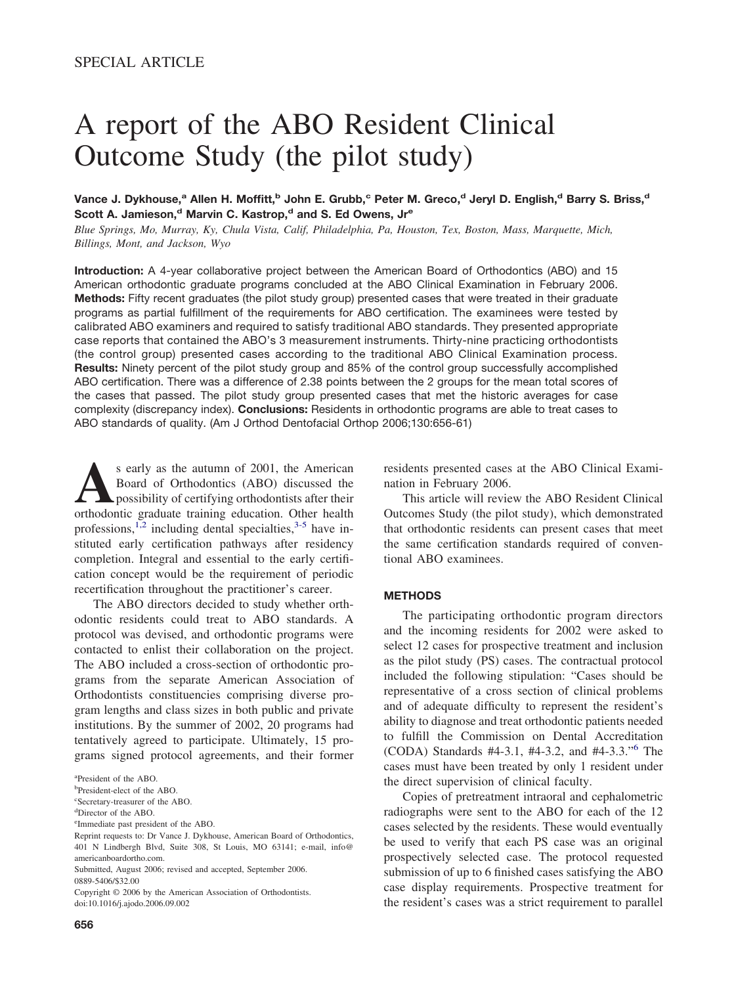# A report of the ABO Resident Clinical Outcome Study (the pilot study)

Vance J. Dykhouse,<sup>a</sup> Allen H. Moffitt,<sup>b</sup> John E. Grubb,<sup>c</sup> Peter M. Greco,<sup>d</sup> Jeryl D. English,<sup>d</sup> Barry S. Briss,<sup>d</sup> Scott A. Jamieson,<sup>d</sup> Marvin C. Kastrop,<sup>d</sup> and S. Ed Owens, Jr<sup>e</sup>

*Blue Springs, Mo, Murray, Ky, Chula Vista, Calif, Philadelphia, Pa, Houston, Tex, Boston, Mass, Marquette, Mich, Billings, Mont, and Jackson, Wyo*

**Introduction:** A 4-year collaborative project between the American Board of Orthodontics (ABO) and 15 American orthodontic graduate programs concluded at the ABO Clinical Examination in February 2006. **Methods:** Fifty recent graduates (the pilot study group) presented cases that were treated in their graduate programs as partial fulfillment of the requirements for ABO certification. The examinees were tested by calibrated ABO examiners and required to satisfy traditional ABO standards. They presented appropriate case reports that contained the ABO's 3 measurement instruments. Thirty-nine practicing orthodontists (the control group) presented cases according to the traditional ABO Clinical Examination process. **Results:** Ninety percent of the pilot study group and 85% of the control group successfully accomplished ABO certification. There was a difference of 2.38 points between the 2 groups for the mean total scores of the cases that passed. The pilot study group presented cases that met the historic averages for case complexity (discrepancy index). **Conclusions:** Residents in orthodontic programs are able to treat cases to ABO standards of quality. (Am J Orthod Dentofacial Orthop 2006;130:656-61)

s early as the autumn of 2001, the American<br>Board of Orthodontics (ABO) discussed the<br>possibility of certifying orthodontists after their<br>orthodontic graduate training education. Other health Board of Orthodontics (ABO) discussed the possibility of certifying orthodontists after their orthodontic graduate training education. Other health professions,<sup>[1,2](#page-5-0)</sup> including dental specialties, $3-5$  have instituted early certification pathways after residency completion. Integral and essential to the early certification concept would be the requirement of periodic recertification throughout the practitioner's career.

The ABO directors decided to study whether orthodontic residents could treat to ABO standards. A protocol was devised, and orthodontic programs were contacted to enlist their collaboration on the project. The ABO included a cross-section of orthodontic programs from the separate American Association of Orthodontists constituencies comprising diverse program lengths and class sizes in both public and private institutions. By the summer of 2002, 20 programs had tentatively agreed to participate. Ultimately, 15 programs signed protocol agreements, and their former

Copyright © 2006 by the American Association of Orthodontists. doi:10.1016/j.ajodo.2006.09.002

residents presented cases at the ABO Clinical Examination in February 2006.

This article will review the ABO Resident Clinical Outcomes Study (the pilot study), which demonstrated that orthodontic residents can present cases that meet the same certification standards required of conventional ABO examinees.

#### **METHODS**

The participating orthodontic program directors and the incoming residents for 2002 were asked to select 12 cases for prospective treatment and inclusion as the pilot study (PS) cases. The contractual protocol included the following stipulation: "Cases should be representative of a cross section of clinical problems and of adequate difficulty to represent the resident's ability to diagnose and treat orthodontic patients needed to fulfill the Commission on Dental Accreditation (CODA) Standards #4-3.1, #4-3.2, and #4-3.3."[6](#page-5-0) The cases must have been treated by only 1 resident under the direct supervision of clinical faculty.

Copies of pretreatment intraoral and cephalometric radiographs were sent to the ABO for each of the 12 cases selected by the residents. These would eventually be used to verify that each PS case was an original prospectively selected case. The protocol requested submission of up to 6 finished cases satisfying the ABO case display requirements. Prospective treatment for the resident's cases was a strict requirement to parallel

a President of the ABO.

b President-elect of the ABO.

c Secretary-treasurer of the ABO.

d Director of the ABO.

e Immediate past president of the ABO.

Reprint requests to: Dr Vance J. Dykhouse, American Board of Orthodontics, 401 N Lindbergh Blvd, Suite 308, St Louis, MO 63141; e-mail, info@ americanboardortho.com.

Submitted, August 2006; revised and accepted, September 2006. 0889-5406/\$32.00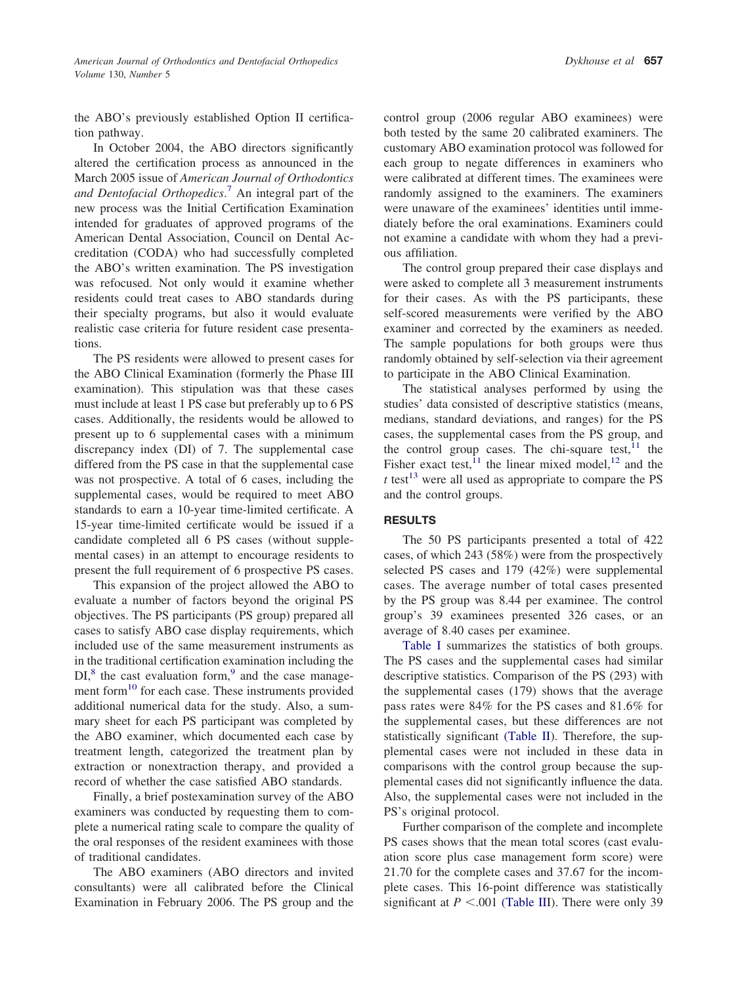the ABO's previously established Option II certification pathway.

In October 2004, the ABO directors significantly altered the certification process as announced in the March 2005 issue of *American Journal of Orthodontics and Dentofacial Orthopedics*. [7](#page-5-0) An integral part of the new process was the Initial Certification Examination intended for graduates of approved programs of the American Dental Association, Council on Dental Accreditation (CODA) who had successfully completed the ABO's written examination. The PS investigation was refocused. Not only would it examine whether residents could treat cases to ABO standards during their specialty programs, but also it would evaluate realistic case criteria for future resident case presentations.

The PS residents were allowed to present cases for the ABO Clinical Examination (formerly the Phase III examination). This stipulation was that these cases must include at least 1 PS case but preferably up to 6 PS cases. Additionally, the residents would be allowed to present up to 6 supplemental cases with a minimum discrepancy index (DI) of 7. The supplemental case differed from the PS case in that the supplemental case was not prospective. A total of 6 cases, including the supplemental cases, would be required to meet ABO standards to earn a 10-year time-limited certificate. A 15-year time-limited certificate would be issued if a candidate completed all 6 PS cases (without supplemental cases) in an attempt to encourage residents to present the full requirement of 6 prospective PS cases.

This expansion of the project allowed the ABO to evaluate a number of factors beyond the original PS objectives. The PS participants (PS group) prepared all cases to satisfy ABO case display requirements, which included use of the same measurement instruments as in the traditional certification examination including the  $DI<sub>1</sub><sup>8</sup>$  the cast evaluation form,<sup>[9](#page-5-0)</sup> and the case management form<sup>10</sup> for each case. These instruments provided additional numerical data for the study. Also, a summary sheet for each PS participant was completed by the ABO examiner, which documented each case by treatment length, categorized the treatment plan by extraction or nonextraction therapy, and provided a record of whether the case satisfied ABO standards.

Finally, a brief postexamination survey of the ABO examiners was conducted by requesting them to complete a numerical rating scale to compare the quality of the oral responses of the resident examinees with those of traditional candidates.

The ABO examiners (ABO directors and invited consultants) were all calibrated before the Clinical Examination in February 2006. The PS group and the

control group (2006 regular ABO examinees) were both tested by the same 20 calibrated examiners. The customary ABO examination protocol was followed for each group to negate differences in examiners who were calibrated at different times. The examinees were randomly assigned to the examiners. The examiners were unaware of the examinees' identities until immediately before the oral examinations. Examiners could not examine a candidate with whom they had a previous affiliation.

The control group prepared their case displays and were asked to complete all 3 measurement instruments for their cases. As with the PS participants, these self-scored measurements were verified by the ABO examiner and corrected by the examiners as needed. The sample populations for both groups were thus randomly obtained by self-selection via their agreement to participate in the ABO Clinical Examination.

The statistical analyses performed by using the studies' data consisted of descriptive statistics (means, medians, standard deviations, and ranges) for the PS cases, the supplemental cases from the PS group, and the control group cases. The chi-square test, $^{11}$  $^{11}$  $^{11}$  the Fisher exact test,<sup>[11](#page-5-0)</sup> the linear mixed model,<sup>[12](#page-5-0)</sup> and the  $t$  test<sup>[13](#page-5-0)</sup> were all used as appropriate to compare the PS and the control groups.

### **RESULTS**

The 50 PS participants presented a total of 422 cases, of which 243 (58%) were from the prospectively selected PS cases and 179 (42%) were supplemental cases. The average number of total cases presented by the PS group was 8.44 per examinee. The control group's 39 examinees presented 326 cases, or an average of 8.40 cases per examinee.

[Table](#page-2-0) I summarizes the statistics of both groups. The PS cases and the supplemental cases had similar descriptive statistics. Comparison of the PS (293) with the supplemental cases (179) shows that the average pass rates were 84% for the PS cases and 81.6% for the supplemental cases, but these differences are not statistically significant [\(Table](#page-2-0) II). Therefore, the supplemental cases were not included in these data in comparisons with the control group because the supplemental cases did not significantly influence the data. Also, the supplemental cases were not included in the PS's original protocol.

Further comparison of the complete and incomplete PS cases shows that the mean total scores (cast evaluation score plus case management form score) were 21.70 for the complete cases and 37.67 for the incomplete cases. This 16-point difference was statistically significant at  $P < .001$  [\(Table](#page-2-0) III). There were only 39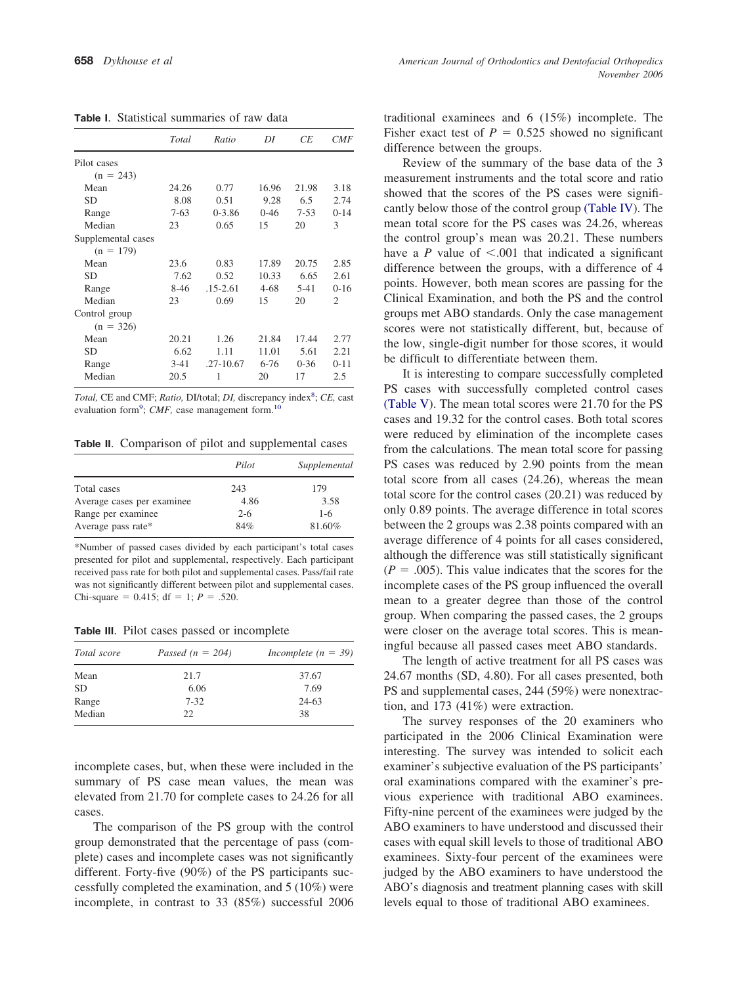<span id="page-2-0"></span>

| <b>Table I.</b> Statistical summaries of raw data |
|---------------------------------------------------|
|---------------------------------------------------|

|                    | Total  | Ratio        | DI       | СE       | <i>CMF</i> |
|--------------------|--------|--------------|----------|----------|------------|
| Pilot cases        |        |              |          |          |            |
| $(n = 243)$        |        |              |          |          |            |
| Mean               | 24.26  | 0.77         | 16.96    | 21.98    | 3.18       |
| <b>SD</b>          | 8.08   | 0.51         | 9.28     | 6.5      | 2.74       |
| Range              | $7-63$ | $0 - 3.86$   | $0 - 46$ | $7 - 53$ | $0 - 14$   |
| Median             | 23     | 0.65         | 15       | 20       | 3          |
| Supplemental cases |        |              |          |          |            |
| $(n = 179)$        |        |              |          |          |            |
| Mean               | 23.6   | 0.83         | 17.89    | 20.75    | 2.85       |
| <b>SD</b>          | 7.62   | 0.52         | 10.33    | 6.65     | 2.61       |
| Range              | $8-46$ | $.15 - 2.61$ | $4 - 68$ | $5 - 41$ | $0 - 16$   |
| Median             | 23     | 0.69         | 15       | 20       | 2          |
| Control group      |        |              |          |          |            |
| $(n = 326)$        |        |              |          |          |            |
| Mean               | 20.21  | 1.26         | 21.84    | 17.44    | 2.77       |
| <b>SD</b>          | 6.62   | 1.11         | 11.01    | 5.61     | 2.21       |
| Range              | $3-41$ | .27-10.67    | $6 - 76$ | $0 - 36$ | $0 - 11$   |
| Median             | 20.5   | 1            | 20       | 17       | 2.5        |

Total, CE and CMF; *Ratio*, DI/total; *DI*, discrepancy index<sup>[8](#page-5-0)</sup>; CE, cast evaluation form<sup>[9](#page-5-0)</sup>; *CMF*, case management form.<sup>10</sup>

**Table II**. Comparison of pilot and supplemental cases

|                            | Pilot   | Supplemental |
|----------------------------|---------|--------------|
| Total cases                | 243     | 179          |
| Average cases per examinee | 4.86    | 3.58         |
| Range per examinee         | $2 - 6$ | $1-6$        |
| Average pass rate*         | 84%     | 81.60%       |

\*Number of passed cases divided by each participant's total cases presented for pilot and supplemental, respectively. Each participant received pass rate for both pilot and supplemental cases. Pass/fail rate was not significantly different between pilot and supplemental cases. Chi-square =  $0.415$ ; df = 1;  $P = .520$ .

**Table III**. Pilot cases passed or incomplete

| Total score | Passed $(n = 204)$ | Incomplete $(n = 39)$ |  |  |
|-------------|--------------------|-----------------------|--|--|
| Mean        | 21.7               | 37.67                 |  |  |
| <b>SD</b>   | 6.06               | 7.69                  |  |  |
| Range       | $7 - 32$           | $24-63$               |  |  |
| Median      | 22.                | 38                    |  |  |

incomplete cases, but, when these were included in the summary of PS case mean values, the mean was elevated from 21.70 for complete cases to 24.26 for all cases.

The comparison of the PS group with the control group demonstrated that the percentage of pass (complete) cases and incomplete cases was not significantly different. Forty-five (90%) of the PS participants successfully completed the examination, and 5 (10%) were incomplete, in contrast to 33 (85%) successful 2006

traditional examinees and 6 (15%) incomplete. The Fisher exact test of  $P = 0.525$  showed no significant difference between the groups.

Review of the summary of the base data of the 3 measurement instruments and the total score and ratio showed that the scores of the PS cases were significantly below those of the control group [\(Table](#page-3-0) IV). The mean total score for the PS cases was 24.26, whereas the control group's mean was 20.21. These numbers have a  $P$  value of  $\leq$ .001 that indicated a significant difference between the groups, with a difference of 4 points. However, both mean scores are passing for the Clinical Examination, and both the PS and the control groups met ABO standards. Only the case management scores were not statistically different, but, because of the low, single-digit number for those scores, it would be difficult to differentiate between them.

It is interesting to compare successfully completed PS cases with successfully completed control cases [\(Table](#page-3-0) V). The mean total scores were 21.70 for the PS cases and 19.32 for the control cases. Both total scores were reduced by elimination of the incomplete cases from the calculations. The mean total score for passing PS cases was reduced by 2.90 points from the mean total score from all cases (24.26), whereas the mean total score for the control cases (20.21) was reduced by only 0.89 points. The average difference in total scores between the 2 groups was 2.38 points compared with an average difference of 4 points for all cases considered, although the difference was still statistically significant  $(P = .005)$ . This value indicates that the scores for the incomplete cases of the PS group influenced the overall mean to a greater degree than those of the control group. When comparing the passed cases, the 2 groups were closer on the average total scores. This is meaningful because all passed cases meet ABO standards.

The length of active treatment for all PS cases was 24.67 months (SD, 4.80). For all cases presented, both PS and supplemental cases, 244 (59%) were nonextraction, and 173 (41%) were extraction.

The survey responses of the 20 examiners who participated in the 2006 Clinical Examination were interesting. The survey was intended to solicit each examiner's subjective evaluation of the PS participants' oral examinations compared with the examiner's previous experience with traditional ABO examinees. Fifty-nine percent of the examinees were judged by the ABO examiners to have understood and discussed their cases with equal skill levels to those of traditional ABO examinees. Sixty-four percent of the examinees were judged by the ABO examiners to have understood the ABO's diagnosis and treatment planning cases with skill levels equal to those of traditional ABO examinees.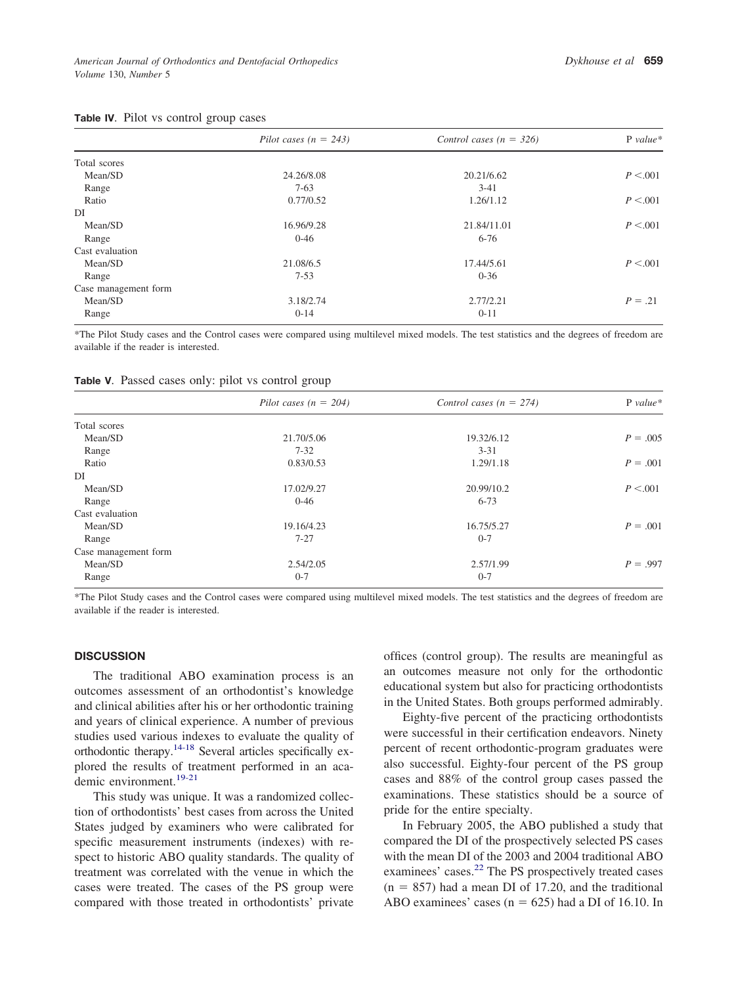<span id="page-3-0"></span>

|                      | Pilot cases $(n = 243)$ | Control cases ( $n = 326$ ) | $P$ value* |
|----------------------|-------------------------|-----------------------------|------------|
|                      |                         |                             |            |
| Total scores         |                         |                             |            |
| Mean/SD              | 24.26/8.08              | 20.21/6.62                  | P < 0.001  |
| Range                | $7-63$                  | $3 - 41$                    |            |
| Ratio                | 0.77/0.52               | 1.26/1.12                   | P < 0.001  |
| DI                   |                         |                             |            |
| Mean/SD              | 16.96/9.28              | 21.84/11.01                 | P < 0.001  |
| Range                | $0 - 46$                | $6 - 76$                    |            |
| Cast evaluation      |                         |                             |            |
| Mean/SD              | 21.08/6.5               | 17.44/5.61                  | P < 0.001  |
| Range                | $7 - 53$                | $0 - 36$                    |            |
| Case management form |                         |                             |            |
| Mean/SD              | 3.18/2.74               | 2.77/2.21                   | $P = .21$  |
| Range                | $0 - 14$                | $0 - 11$                    |            |

\*The Pilot Study cases and the Control cases were compared using multilevel mixed models. The test statistics and the degrees of freedom are available if the reader is interested.

| Table V. Passed cases only: pilot vs control group |  |  |  |  |
|----------------------------------------------------|--|--|--|--|
|                                                    |  |  |  |  |

|                      | Pilot cases ( $n = 204$ ) | Control cases ( $n = 274$ ) | $P value*$ |  |
|----------------------|---------------------------|-----------------------------|------------|--|
| Total scores         |                           |                             |            |  |
| Mean/SD              | 21.70/5.06                | 19.32/6.12                  | $P = .005$ |  |
| Range                | $7 - 32$                  | $3 - 31$                    |            |  |
| Ratio                | 0.83/0.53                 | 1.29/1.18                   | $P = .001$ |  |
| DI                   |                           |                             |            |  |
| Mean/SD              | 17.02/9.27                | 20.99/10.2                  | P < 0.001  |  |
| Range                | $0 - 46$                  | $6 - 73$                    |            |  |
| Cast evaluation      |                           |                             |            |  |
| Mean/SD              | 19.16/4.23                | 16.75/5.27                  | $P = .001$ |  |
| Range                | $7 - 27$                  | $0 - 7$                     |            |  |
| Case management form |                           |                             |            |  |
| Mean/SD              | 2.54/2.05                 | 2.57/1.99                   | $P = .997$ |  |
| Range                | $0 - 7$                   | $0 - 7$                     |            |  |

\*The Pilot Study cases and the Control cases were compared using multilevel mixed models. The test statistics and the degrees of freedom are available if the reader is interested.

#### **DISCUSSION**

The traditional ABO examination process is an outcomes assessment of an orthodontist's knowledge and clinical abilities after his or her orthodontic training and years of clinical experience. A number of previous studies used various indexes to evaluate the quality of orthodontic therapy[.14-18](#page-5-0) Several articles specifically explored the results of treatment performed in an aca-demic environment.<sup>[19-21](#page-5-0)</sup>

This study was unique. It was a randomized collection of orthodontists' best cases from across the United States judged by examiners who were calibrated for specific measurement instruments (indexes) with respect to historic ABO quality standards. The quality of treatment was correlated with the venue in which the cases were treated. The cases of the PS group were compared with those treated in orthodontists' private

offices (control group). The results are meaningful as an outcomes measure not only for the orthodontic educational system but also for practicing orthodontists in the United States. Both groups performed admirably.

Eighty-five percent of the practicing orthodontists were successful in their certification endeavors. Ninety percent of recent orthodontic-program graduates were also successful. Eighty-four percent of the PS group cases and 88% of the control group cases passed the examinations. These statistics should be a source of pride for the entire specialty.

In February 2005, the ABO published a study that compared the DI of the prospectively selected PS cases with the mean DI of the 2003 and 2004 traditional ABO examinees' cases.<sup>[22](#page-5-0)</sup> The PS prospectively treated cases  $(n = 857)$  had a mean DI of 17.20, and the traditional ABO examinees' cases  $(n = 625)$  had a DI of 16.10. In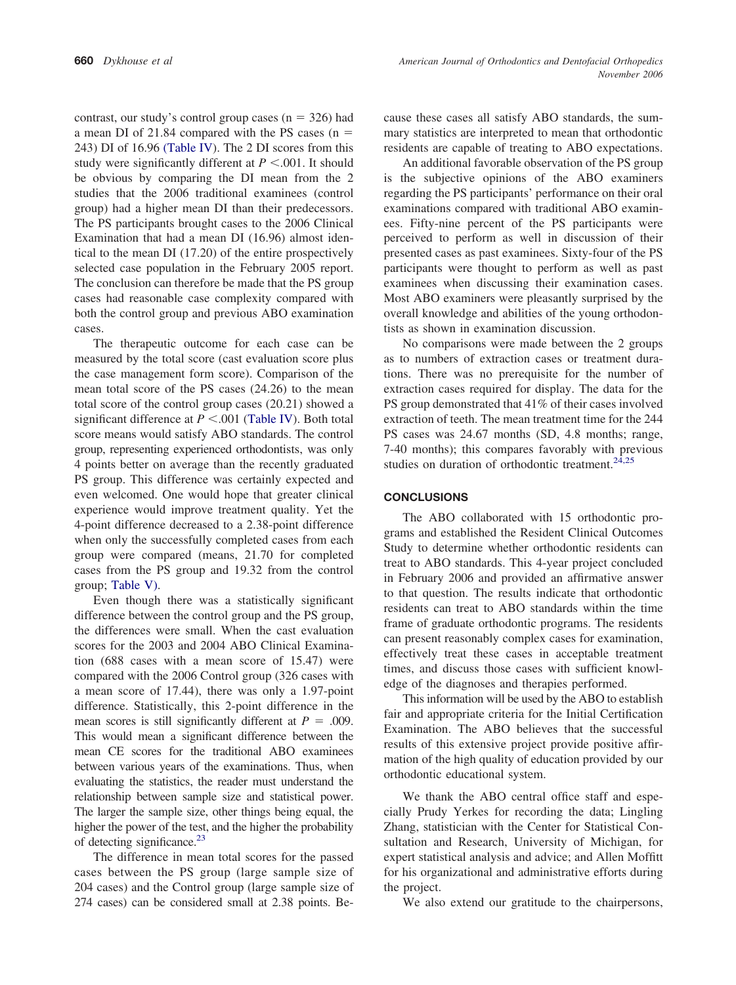contrast, our study's control group cases  $(n = 326)$  had a mean DI of 21.84 compared with the PS cases  $(n =$ 243) DI of 16.96 [\(Table](#page-3-0) IV). The 2 DI scores from this study were significantly different at  $P < .001$ . It should be obvious by comparing the DI mean from the 2 studies that the 2006 traditional examinees (control group) had a higher mean DI than their predecessors. The PS participants brought cases to the 2006 Clinical Examination that had a mean DI (16.96) almost identical to the mean DI (17.20) of the entire prospectively selected case population in the February 2005 report. The conclusion can therefore be made that the PS group cases had reasonable case complexity compared with both the control group and previous ABO examination cases.

The therapeutic outcome for each case can be measured by the total score (cast evaluation score plus the case management form score). Comparison of the mean total score of the PS cases (24.26) to the mean total score of the control group cases (20.21) showed a significant difference at  $P < .001$  [\(Table](#page-3-0) IV). Both total score means would satisfy ABO standards. The control group, representing experienced orthodontists, was only 4 points better on average than the recently graduated PS group. This difference was certainly expected and even welcomed. One would hope that greater clinical experience would improve treatment quality. Yet the 4-point difference decreased to a 2.38-point difference when only the successfully completed cases from each group were compared (means, 21.70 for completed cases from the PS group and 19.32 from the control group; [Table](#page-3-0) V).

Even though there was a statistically significant difference between the control group and the PS group, the differences were small. When the cast evaluation scores for the 2003 and 2004 ABO Clinical Examination (688 cases with a mean score of 15.47) were compared with the 2006 Control group (326 cases with a mean score of 17.44), there was only a 1.97-point difference. Statistically, this 2-point difference in the mean scores is still significantly different at  $P = .009$ . This would mean a significant difference between the mean CE scores for the traditional ABO examinees between various years of the examinations. Thus, when evaluating the statistics, the reader must understand the relationship between sample size and statistical power. The larger the sample size, other things being equal, the higher the power of the test, and the higher the probability of detecting significance.<sup>23</sup>

The difference in mean total scores for the passed cases between the PS group (large sample size of 204 cases) and the Control group (large sample size of 274 cases) can be considered small at 2.38 points. Because these cases all satisfy ABO standards, the summary statistics are interpreted to mean that orthodontic residents are capable of treating to ABO expectations.

An additional favorable observation of the PS group is the subjective opinions of the ABO examiners regarding the PS participants' performance on their oral examinations compared with traditional ABO examinees. Fifty-nine percent of the PS participants were perceived to perform as well in discussion of their presented cases as past examinees. Sixty-four of the PS participants were thought to perform as well as past examinees when discussing their examination cases. Most ABO examiners were pleasantly surprised by the overall knowledge and abilities of the young orthodontists as shown in examination discussion.

No comparisons were made between the 2 groups as to numbers of extraction cases or treatment durations. There was no prerequisite for the number of extraction cases required for display. The data for the PS group demonstrated that 41% of their cases involved extraction of teeth. The mean treatment time for the 244 PS cases was 24.67 months (SD, 4.8 months; range, 7-40 months); this compares favorably with previous studies on duration of orthodontic treatment. $24,25$ 

## **CONCLUSIONS**

The ABO collaborated with 15 orthodontic programs and established the Resident Clinical Outcomes Study to determine whether orthodontic residents can treat to ABO standards. This 4-year project concluded in February 2006 and provided an affirmative answer to that question. The results indicate that orthodontic residents can treat to ABO standards within the time frame of graduate orthodontic programs. The residents can present reasonably complex cases for examination, effectively treat these cases in acceptable treatment times, and discuss those cases with sufficient knowledge of the diagnoses and therapies performed.

This information will be used by the ABO to establish fair and appropriate criteria for the Initial Certification Examination. The ABO believes that the successful results of this extensive project provide positive affirmation of the high quality of education provided by our orthodontic educational system.

We thank the ABO central office staff and especially Prudy Yerkes for recording the data; Lingling Zhang, statistician with the Center for Statistical Consultation and Research, University of Michigan, for expert statistical analysis and advice; and Allen Moffitt for his organizational and administrative efforts during the project.

We also extend our gratitude to the chairpersons,